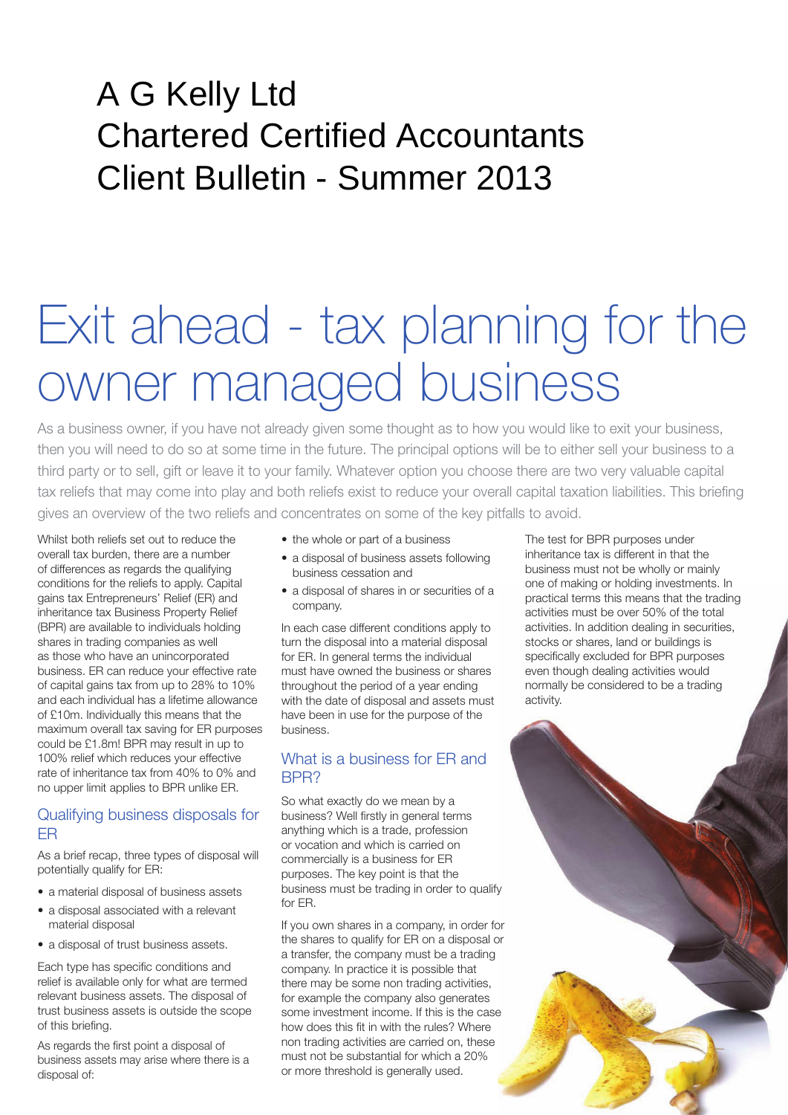# A G Kelly Ltd Chartered Certified Accountants Client Bulletin - Summer 2013

# Exit ahead - tax planning for the owner managed business

As a business owner, if you have not already given some thought as to how you would like to exit your business, then you will need to do so at some time in the future. The principal options will be to either sell your business to a third party or to sell, gift or leave it to your family. Whatever option you choose there are two very valuable capital tax reliefs that may come into play and both reliefs exist to reduce your overall capital taxation liabilities. This briefing gives an overview of the two reliefs and concentrates on some of the key pitfalls to avoid.

Whilst both reliefs set out to reduce the overall tax burden, there are a number of differences as regards the qualifying conditions for the reliefs to apply. Capital gains tax Entrepreneurs' Relief (ER) and inheritance tax Business Property Relief (BPR) are available to individuals holding shares in trading companies as well as those who have an unincorporated business. ER can reduce your effective rate of capital gains tax from up to 28% to 10% and each individual has a lifetime allowance of £10m. Individually this means that the maximum overall tax saving for ER purposes could be £1.8m! BPR may result in up to 100% relief which reduces your effective rate of inheritance tax from 40% to 0% and no upper limit applies to BPR unlike ER.

#### Qualifying business disposals for ER

As a brief recap, three types of disposal will potentially qualify for ER:

- a material disposal of business assets
- a disposal associated with a relevant material disposal
- a disposal of trust business assets.

Each type has specific conditions and relief is available only for what are termed relevant business assets. The disposal of trust business assets is outside the scope of this briefing.

As regards the first point a disposal of business assets may arise where there is a disposal of:

- the whole or part of a business
- a disposal of business assets following business cessation and
- a disposal of shares in or securities of a company.

In each case different conditions apply to turn the disposal into a material disposal for ER. In general terms the individual must have owned the business or shares throughout the period of a year ending with the date of disposal and assets must have been in use for the purpose of the business.

# What is a business for ER and RPR?

So what exactly do we mean by a business? Well firstly in general terms anything which is a trade, profession or vocation and which is carried on commercially is a business for ER purposes. The key point is that the business must be trading in order to qualify for ER.

If you own shares in a company, in order for the shares to qualify for ER on a disposal or a transfer, the company must be a trading company. In practice it is possible that there may be some non trading activities, for example the company also generates some investment income. If this is the case how does this fit in with the rules? Where non trading activities are carried on, these must not be substantial for which a 20% or more threshold is generally used.

The test for BPR purposes under inheritance tax is different in that the business must not be wholly or mainly one of making or holding investments. In practical terms this means that the trading activities must be over 50% of the total activities. In addition dealing in securities, stocks or shares, land or buildings is specifically excluded for BPR purposes even though dealing activities would normally be considered to be a trading activity.